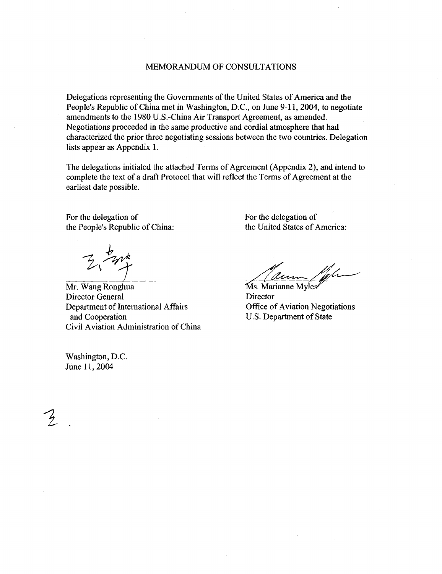#### MEMORANDUM OF CONSULTATIONS

Delegations representing the Governments of the United States of America and the People's Republic of China met in Washington, D.C., on June 9-11, 2004, to negotiate amendments to the 1980 U.S.-China Air Transport Agreement, as amended. Negotiations proceeded in the same productive and cordial atmosphere that had characterized the prior three negotiating sessions between the two countries . Delegation lists appear as Appendix 1.

The delegations initialed the attached Terms of Agreement (Appendix 2), and intend to complete the text of a draft Protocol that will reflect the Terms of Agreement at the earliest date possible .

For the delegation of the People's Republic of China: the United States of America:

Mr. Wang Ronghua Director General Department of International Affairs and Cooperation Civil Aviation Administration of China

Washington, D.C. June 11, 2004

 $\frac{1}{2}$ 

For the delegation of

ann Ms. Marianne Myles

**Director** Office of Aviation Negotiations U.S. Department of State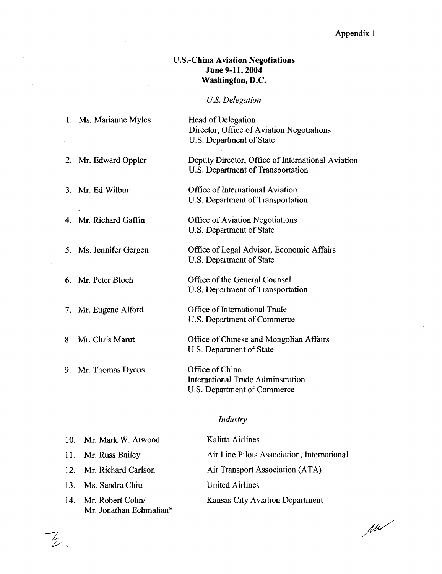# U.S.-China Aviation Negotiations June 9-11, 2004 Washington, D.C.

# U.S. Delegation

| 1. Ms. Marianne Myles  | Head of Delegation<br>Director, Office of Aviation Negotiations<br>U.S. Department of State |
|------------------------|---------------------------------------------------------------------------------------------|
| 2. Mr. Edward Oppler   | Deputy Director, Office of International Aviation<br>U.S. Department of Transportation      |
| 3. Mr. Ed Wilbur       | Office of International Aviation<br>U.S. Department of Transportation                       |
| 4. Mr. Richard Gaffin  | <b>Office of Aviation Negotiations</b><br>U.S. Department of State                          |
| 5. Ms. Jennifer Gergen | Office of Legal Advisor, Economic Affairs<br>U.S. Department of State                       |
| 6. Mr. Peter Bloch     | Office of the General Counsel<br>U.S. Department of Transportation                          |
| 7. Mr. Eugene Alford   | Office of International Trade<br>U.S. Department of Commerce                                |
| 8. Mr. Chris Marut     | Office of Chinese and Mongolian Affairs<br>U.S. Department of State                         |
| 9. Mr. Thomas Dycus    | Office of China<br><b>International Trade Adminstration</b><br>U.S. Department of Commerce  |

# Industry

| 10. Mr. Mark W. Atwood                          | <b>Kalitta Airlines</b>                    |
|-------------------------------------------------|--------------------------------------------|
| 11. Mr. Russ Bailey                             | Air Line Pilots Association, International |
| 12. Mr. Richard Carlson                         | Air Transport Association (ATA)            |
| 13. Ms. Sandra Chiu                             | <b>United Airlines</b>                     |
| 14. Mr. Robert Cohn/<br>Mr. Jonathan Echmalian* | <b>Kansas City Aviation Department</b>     |

 $\overline{z}$ 

 $\mu$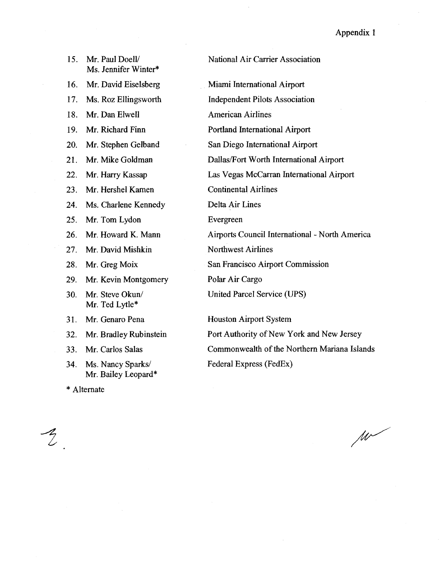| 15. | Mr. Paul Doell/<br>Ms. Jennifer Winter* | National Air Carrier Association               |
|-----|-----------------------------------------|------------------------------------------------|
| 16. | Mr. David Eiselsberg                    | Miami International Airport                    |
| 17. | Ms. Roz Ellingsworth                    | <b>Independent Pilots Association</b>          |
| 18. | Mr. Dan Elwell                          | <b>American Airlines</b>                       |
| 19. | Mr. Richard Finn                        | Portland International Airport                 |
| 20. | Mr. Stephen Gelband                     | San Diego International Airport                |
| 21. | Mr. Mike Goldman                        | Dallas/Fort Worth International Airport        |
| 22. | Mr. Harry Kassap                        | Las Vegas McCarran International Airport       |
| 23. | Mr. Hershel Kamen                       | <b>Continental Airlines</b>                    |
| 24. | Ms. Charlene Kennedy                    | Delta Air Lines                                |
| 25. | Mr. Tom Lydon                           | Evergreen                                      |
| 26. | Mr. Howard K. Mann                      | Airports Council International - North America |
| 27. | Mr. David Mishkin                       | <b>Northwest Airlines</b>                      |
| 28. | Mr. Greg Moix                           | San Francisco Airport Commission               |
| 29. | Mr. Kevin Montgomery                    | Polar Air Cargo                                |
| 30. | Mr. Steve Okun/<br>Mr. Ted Lytle*       | United Parcel Service (UPS)                    |
| 31. | Mr. Genaro Pena                         | <b>Houston Airport System</b>                  |
| 32. | Mr. Bradley Rubinstein                  | Port Authority of New York and New Jersey      |
| 33. | Mr. Carlos Salas                        | Commonwealth of the Northern Mariana Islands   |
| 34. | Ms. Nancy Sparks/                       | Federal Express (FedEx)                        |

 $\mathcal{Z}_{\cdot}$ 

\* Alternate

Mr. Bailey Leopard\*

 $\mu$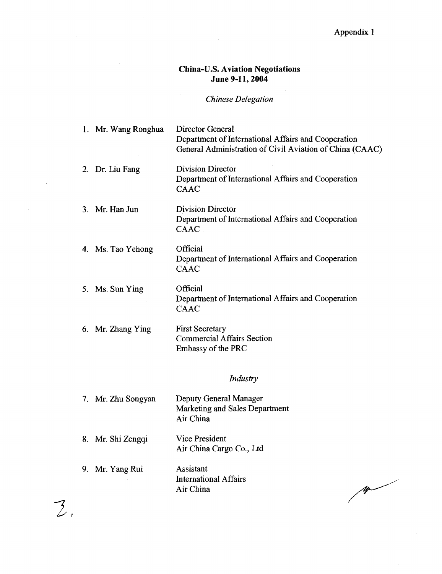# China-U.S. Aviation Negotiations June 9-11, 2004

#### Chinese Delegation

1. Mr. Wang Ronghua Director General Department of International Affairs and Cooperation General Administration of Civil Aviation of China CAAC

2. Dr. Liu Fang Division Director Department of International Affairs and Cooperation CAAC

#### 3. Mr. Han Jun Division Director Department of International Affairs and Cooperation CAAC .

- **Official** Department of International Affairs and Cooperation CAAC
	- **Official** Department of International Affairs and Cooperation CAAC

6. Mr. Zhang Ying First Secretary Commercial Affairs Section Embassy of the PRC

4. Ms. Tao Yehong

5. Ms. Sun Ying

#### Industry

| 7. Mr. Zhu Songyan | Deputy General Manager<br>Marketing and Sales Department<br>Air China |
|--------------------|-----------------------------------------------------------------------|
| 8. Mr. Shi Zengqi  | Vice President<br>Air China Cargo Co., Ltd                            |
| 9. Mr. Yang Rui    | Assistant<br><b>International Affairs</b><br>Air China                |

 $\overline{2}$ 

 $\frac{1}{2}$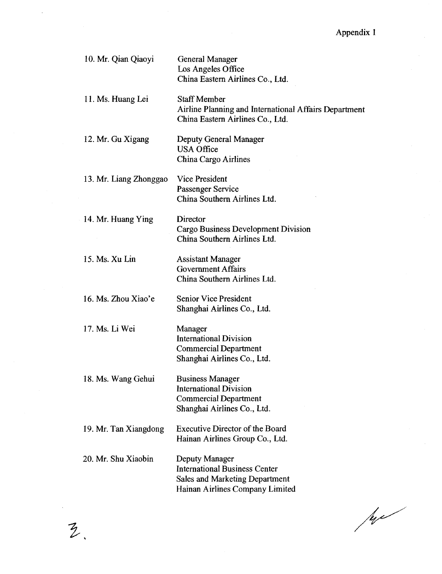| 10. Mr. Qian Qiaoyi    | <b>General Manager</b><br>Los Angeles Office<br>China Eastern Airlines Co., Ltd.                                                   |
|------------------------|------------------------------------------------------------------------------------------------------------------------------------|
| 11. Ms. Huang Lei      | <b>Staff Member</b><br>Airline Planning and International Affairs Department<br>China Eastern Airlines Co., Ltd.                   |
| 12. Mr. Gu Xigang      | Deputy General Manager<br><b>USA Office</b><br>China Cargo Airlines                                                                |
| 13. Mr. Liang Zhonggao | <b>Vice President</b><br>Passenger Service<br>China Southern Airlines Ltd.                                                         |
| 14. Mr. Huang Ying     | <b>Director</b><br>Cargo Business Development Division<br>China Southern Airlines Ltd.                                             |
| 15. Ms. Xu Lin         | <b>Assistant Manager</b><br><b>Government Affairs</b><br>China Southern Airlines Ltd.                                              |
| 16. Ms. Zhou Xiao'e    | <b>Senior Vice President</b><br>Shanghai Airlines Co., Ltd.                                                                        |
| 17. Ms. Li Wei         | Manager<br><b>International Division</b><br><b>Commercial Department</b><br>Shanghai Airlines Co., Ltd.                            |
| 18. Ms. Wang Gehui     | <b>Business Manager</b><br><b>International Division</b><br><b>Commercial Department</b><br>Shanghai Airlines Co., Ltd.            |
| 19. Mr. Tan Xiangdong  | <b>Executive Director of the Board</b><br>Hainan Airlines Group Co., Ltd.                                                          |
| 20. Mr. Shu Xiaobin    | Deputy Manager<br><b>International Business Center</b><br><b>Sales and Marketing Department</b><br>Hainan Airlines Company Limited |

 $\ddot{z}$ 

Je se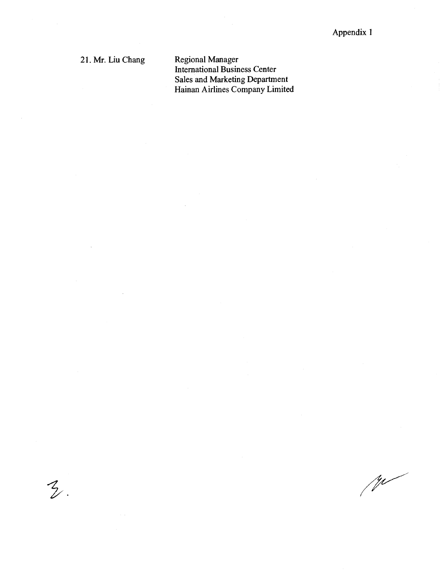21. Mr. Liu Chang  $\begin{array}{c}\n\text{21 M}\n\end{array}$ 

 $\mathcal{Z}$ .

Regional Manager International Business Center Sales and Marketing Department Hainan Airlines Company Limited

 $\sqrt{W}$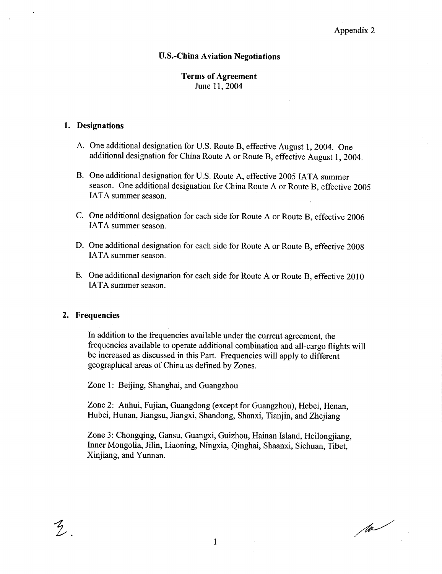#### U.S. China Aviation Negotiations

## Terms of Agreement June 11, 2004

### 1. Designations

- A. One additional designation for U.S. Route B, effective August 1, 2004. One additional designation for China Route A or Route B, effective August 1, 2004.
- B. One additional designation for U.S. Route A, effective 2005 IATA summer season. One additional designation for China Route A or Route B, effective 2005 IATA summer season.
- C. One additional designation for each side for Route A or Route B, effective 2006 IATA summer season.
- D. One additional designation for each side for Route A or Route B, effective 2008 IATA summer season.
- E. One additional designation for each side for Route A or Route B, effective 2010 IATA summer season.

#### 2. Frequencies

 $\frac{1}{2}$ 

In addition to the frequencies available under the current agreement, the frequencies available to operate additional combination and all cargo flights will be increased as discussed in this Part. Frequencies will apply to different geographical areas of China as defined by Zones .

Zone 1: Beijing, Shanghai, and Guangzhou

Zone 2: Anhui, Fujian, Guangdong (except for Guangzhou), Hebei, Henan, Hubei, Hunan, Jiangsu, Jiangxi, Shandong, Shanxi, Tianjin, and Zhejiang

Zone 3: Chongqing, Gansu, Guangxi, Guizhou, Hainan Island, Heilongjiang, Inner Mongolia, Jilin, Liaoning, Ningxia, Qinghai, Shaanxi, Sichuan, Tibet. Xinjiang, and Yunnan.

/w/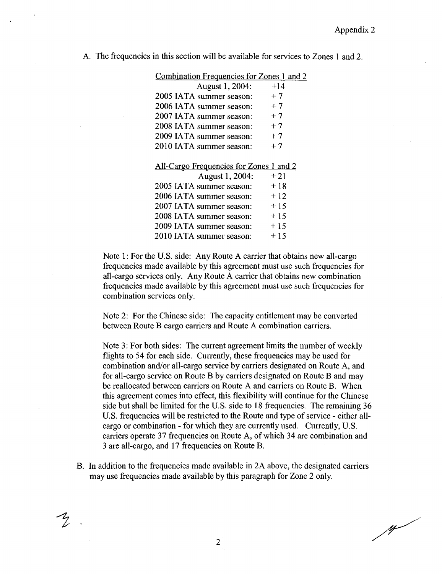$M$ 

|  | A. The frequencies in this section will be available for services to Zones 1 and 2. |  |  |  |  |  |  |
|--|-------------------------------------------------------------------------------------|--|--|--|--|--|--|
|  |                                                                                     |  |  |  |  |  |  |

| <b>Combination Frequencies for Zones 1 and 2</b> |       |
|--------------------------------------------------|-------|
| August 1, 2004:                                  | $+14$ |
| 2005 IATA summer season:                         | $+7$  |
| 2006 IATA summer season:                         | $+7$  |
| 2007 IATA summer season:                         | $+7$  |
| 2008 IATA summer season:                         | $+7$  |
| 2009 IATA summer season:                         | $+7$  |
| 2010 IATA summer season:                         | $+7$  |
| All-Cargo Frequencies for Zones 1 and 2          |       |
| August 1, 2004:                                  | $+21$ |
| 2005 IATA summer season:                         | + 18  |
| 2006 IATA summer season:                         | + 12  |
| 2007 IATA summer season:                         | $+15$ |
| 2008 IATA summer season:                         | + 15  |
| 2009 IATA summer season:                         | $+15$ |
| 2010 IATA summer season:                         | + 15  |
|                                                  |       |

Note 1: For the U.S. side: Any Route A carrier that obtains new all-cargo frequencies made available by this agreement must use such frequencies for all-cargo services only. Any Route A carrier that obtains new combination frequencies made available by this agreement must use such frequencies for combination services only.

Note 2: For the Chinese side: The capacity entitlement may be converted between Route B cargo carriers and Route A combination carriers.

Note 3: For both sides: The current agreement limits the number of weekly flights to 54 for each side. Currently, these frequencies may be used for combination and/or all-cargo service by carriers designated on Route A, and for all cargo service on Route B by carriers designated on Route B and may be reallocated between carriers on Route A and carriers on Route B. When this agreement comes into effect, this flexibility will continue for the Chinese side but shall be limited for the U.S. side to 18 frequencies. The remaining 36 U.S. frequencies will be restricted to the Route and type of service - either allcargo or combination - for which they are currently used. Currently, U.S. carriers operate 37 frequencies on Route A, of which 34 are combination and 3 are all-cargo, and 17 frequencies on Route B.

B. In addition to the frequencies made available in 2A above, the designated carriers may use frequencies made available by this paragraph for Zone 2 only.

 $\overline{2}$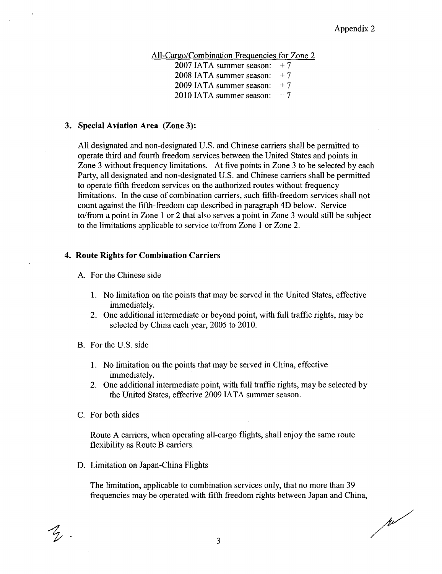All-Cargo/Combination Frequencies for Zone 2

2007 IATA summer season:  $+7$ 

2008 IATA summer season:  $+7$ 

2009 IATA summer season:  $+7$ 

2010 IATA summer season:  $+7$ 

#### 3. Special Aviation Area (Zone 3):

All designated and non-designated U.S. and Chinese carriers shall be permitted to operate third and fourth freedom services between the United States and points in Zone 3 without frequency limitations . At five points in Zone 3 to be selected by each Party, all designated and non-designated U.S. and Chinese carriers shall be permitted to operate fifth freedom services on the authorized routes without frequency limitations. In the case of combination carriers, such fifth-freedom services shall not count against the fifth freedom cap described in paragraph 4D below . Service to/from a point in Zone 1 or 2 that also serves a point in Zone 3 would still be subject to the limitations applicable to service to/from Zone 1 or Zone 2 .

#### 4. Route Rights for Combination Carriers

A. For the Chinese side

- 1. No limitation on the points that may be served in the United States, effective immediately.
- 2. One additional intermediate or beyond point, with full traffic rights, may be selected by China each year, 2005 to 2010.
- B. For the U.S. side
	- 1. No limitation on the points that may be served in China, effective immediately.
	- 2. One additional intermediate point, with full traffic rights, may be selected by the United States, effective 2009 IATA summer season.
- C. For both sides

 $\mathcal{L}_{\mathcal{L}}$ 

Route A carriers, when operating all-cargo flights, shall enjoy the same route flexibility as Route B carriers.

D. Limitation on Japan-China Flights

The limitation, applicable to combination services only, that no more than 39 frequencies may be operated with fifth freedom rights between Japan and China

Jul 1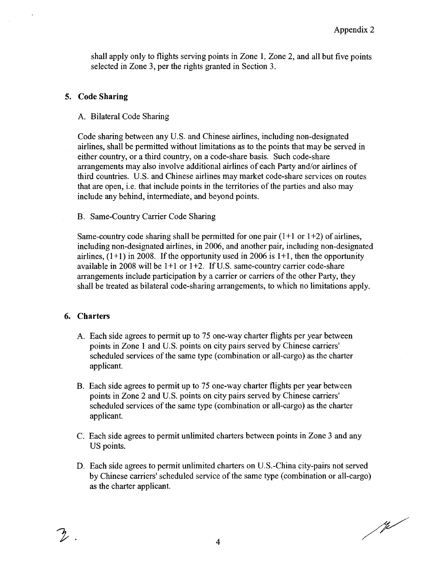shall apply only to flights serving points in Zone 1, Zone 2, and all but five points selected in Zone 3, per the rights granted in Section 3.

# 5. Code Sharing

#### A. Bilateral Code Sharing

Code sharing between any U.S. and Chinese airlines, including non-designated airlines shall be permitted without limitations as to the points that may be served in either country, or a third country, on a code-share basis. Such code-share arrangements may also involve additional airlines of each Party and/or airlines of third countries. U.S. and Chinese airlines may market code-share services on routes that are open, i.e. that include points in the territories of the parties and also may include any behind, intermediate, and beyond points.

#### B. Same Country Carrier Code Sharing

Same-country code sharing shall be permitted for one pair  $(1+1 \text{ or } 1+2)$  of airlines, including non-designated airlines, in 2006, and another pair, including non-designated airlines.  $(1+1)$  in 2008. If the opportunity used in 2006 is  $1+1$ , then the opportunity available in 2008 will be  $1+1$  or  $1+2$ . If U.S. same-country carrier code-share arrangements include participation by a carrier or carriers of the other Party, they shall be treated as bilateral code-sharing arrangements, to which no limitations apply.

### 6. Charters

 $\mathcal{L}$  .

- A. Each side agrees to permit up to 75 one way charter flights per year between points in Zone 1 and U .S. points on city pairs served by Chinese carriers' scheduled services of the same type (combination or all-cargo) as the charter applicant.
- B. Each side agrees to permit up to 75 one way charter flights per year between points in Zone 2 and U .S. points on city pairs served by Chinese carriers' scheduled services of the same type (combination or all-cargo) as the charter applicant.
- C. Each side agrees to permit unlimited charters between points in Zone 3 and any US points.
- D. Each side agrees to permit unlimited charters on U .S. China city pairs not served by Chinese carriers' scheduled service of the same type (combination or all-cargo) as the charter applicant.

 $\frac{1}{\sqrt{2}}$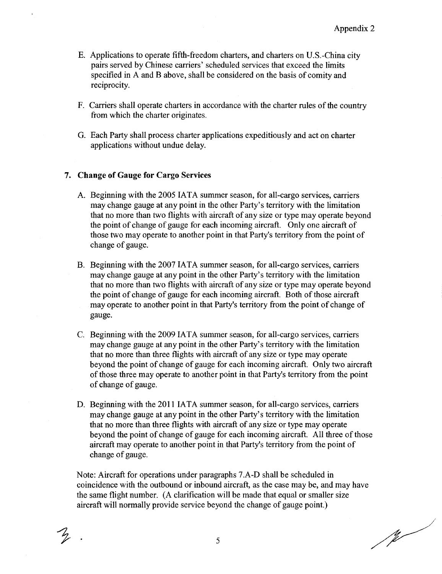- E. Applications to operate fifth freedom charters and charters on U .S . China city pairs served by Chinese carriers' scheduled services that exceed the limits specified in A and B above, shall be considered on the basis of comity and reciprocity.
- F. Carriers shall operate charters in accordance with the charter rules of the country from which the charter originates.
- G. Each Party shall process charter applications expeditiously and act on charter applications without undue delay.

# 7. Change of Gauge for Cargo Services

- A. Beginning with the 2005 IATA summer season, for all-cargo services, carriers may change gauge at any point in the other Party's territory with the limitation that no more than two flights with aircraft of any size or type may operate beyond the point of change of gauge for each incoming aircraft . Only one aircraft of those two may operate to another point in that Party's territory from the point of change of gauge.
- B. Beginning with the 2007 IATA summer season, for all-cargo services, carriers may change gauge at any point in the other Party's territory with the limitation that no more than two flights with aircraft of any size or type may operate beyond the point of change of gauge for each incoming aircraft . Both of those aircraft may operate to another point in that Party's territory from the point of change of gauge.
- C. Beginning with the 2009 IATA summer season for all cargo services carriers may change gauge at any point in the other Party's territory with the limitation that no more than three flights with aircraft of any size or type may operate beyond the point of change of gauge for each incoming aircraft . Only two aircraft of those three may operate to another point in that Party's territory from the point of change of gauge .
- D. Beginning with the 2011 IATA summer season, for all-cargo services, carriers may change gauge at any point in the other Party's territory with the limitation that no more than three flights with aircraft of any size or type may operate beyond the point of change of gauge for each incoming aircraft. All three of those aircraft may operate to another point in that Party's territory from the point of change of gauge.

Note: Aircraft for operations under paragraphs 7.A-D shall be scheduled in coincidence with the outbound or inbound aircraft, as the case may be, and may have the same flight number. (A clarification will be made that equal or smaller size aircraft will normally provide service beyond the change of gauge point .

 $\frac{1}{\sqrt{2}}$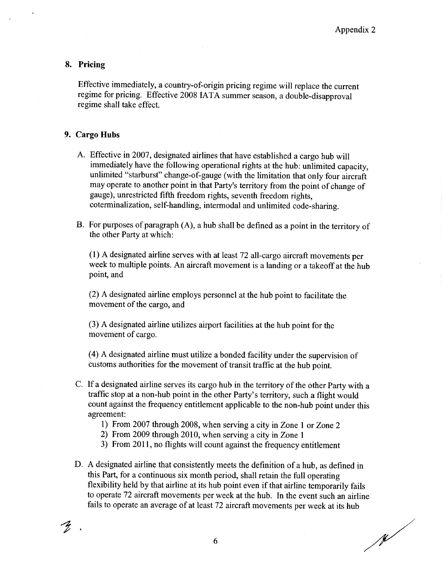### 8. Pricing

Effective immediately, a country-of-origin pricing regime will replace the current regime for pricing. Effective 2008 IATA summer season, a double-disapproval regime shall take effect.

#### 9. Cargo Hubs

 $\widetilde{Z}$  .

- A. Effective in 2007, designated airlines that have established a cargo hub will immediately have the following operational rights at the hub: unlimited capacity, unlimited "starburst" change-of-gauge (with the limitation that only four aircraft may operate to another point in that Party's territory from the point of change of gauge), unrestricted fifth freedom rights, seventh freedom rights, coterminalization, self-handling, intermodal and unlimited code-sharing.
- B. For purposes of paragraph  $(A)$ , a hub shall be defined as a point in the territory of the other Party at which:

<sup>1</sup> A designated airline serves with at least 72 all cargo aircraft movements per week to multiple points. An aircraft movement is a landing or a takeoff at the hub point, and

2 A designated airline employs personnel at the hub point to facilitate the movement of the cargo, and

3 A designated airline utilizes airport facilities at the hub point for the movement of cargo.

4 A designated airline must utilize a bonded facility under the supervision of customs authorities for the movement of transit traffic at the hub point.

- C. If a designated airline serves its cargo hub in the territory of the other Party with a traffic stop at a non-hub point in the other Party's territory, such a flight would count against the frequency entitlement applicable to the non hub point under this agreement:
	- 1) From 2007 through 2008, when serving a city in Zone 1 or Zone 2
	- 2) From 2009 through 2010, when serving a city in Zone 1
	- 3) From 2011, no flights will count against the frequency entitlement
- D. A designated airline that consistently meets the definition of a hub, as defined in this Part, for a continuous six month period, shall retain the full operating flexibility held by that airline at its hub point even if that airline temporarily fails to operate 72 aircraft movements per week at the hub. In the event such an airline fails to operate an average of at least 72 aircraft movements per week at its hub

 $\mathscr{N}$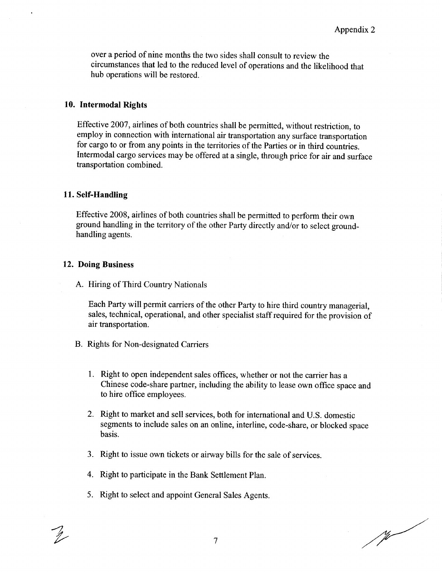over a period of nine months the two sides shall consult to review the circumstances that led to the reduced level of operations and the likelihood that hub operations will be restored.

## 10. Intermodal Rights

Effective 2007, airlines of both countries shall be permitted, without restriction, to employ in connection with international air transportation any surface transportation for cargo to or from any points in the territories of the Parties or in third countries . Intermodal cargo services may be offered at a single, through price for air and surface transportation combined.

# 11. Self-Handling

Effective 2008 airlines of both countries shall be permitted to perform their own ground handling in the territory of the other Party directly and/or to select ground handling agents.

# 12. Doing Business

A. Hiring of Third Country Nationals

Each Party will permit carriers of the other Party to hire third country managerial sales, technical, operational, and other specialist staff required for the provision of air transportation.

- B. Rights for Non-designated Carriers
	- 1. Right to open independent sales offices, whether or not the carrier has a Chinese code-share partner, including the ability to lease own office space and to hire office employees.
	- 2. Right to market and sell services both for international and U.S. domestic segments to include sales on an online, interline, code-share, or blocked space basis.
	- 3. Right to issue own tickets or airway bills for the sale of services.
	- 4. Right to participate in the Bank Settlement Plan .
	- 5. Right to select and appoint General Sales Agents .

Ÿ.